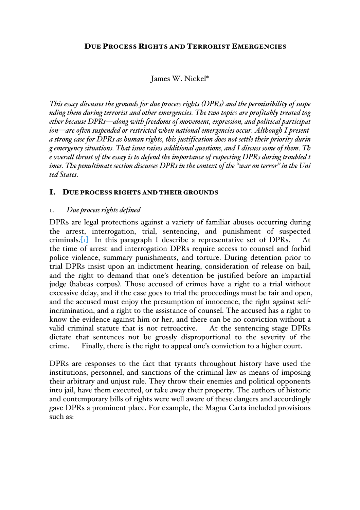### James W. Nickel\*

*This essay discusses the grounds for due process rights (DPRs) and the permissibility of suspe nding them during terrorist and other emergencies. The two topics are profitably treated tog ether because DPRs—along with freedoms of movement, expression, and political participat ion—are often suspended or restricted when national emergencies occur. Although I present a strong case for DPRs as human rights, this justification does not settle their priority durin g emergency situations. That issue raises additional questions, and I discuss some of them. Th e overall thrust of the essay is to defend the importance of respecting DPRs during troubled t imes. The penultimate section discusses DPRs in the context of the "war on terror" in the Uni ted States.*

#### I. DUE PROCESS RIGHTS AND THEIR GROUNDS

### 1. *Due process rights defined*

DPRs are legal protections against a variety of familiar abuses occurring during the arrest, interrogation, trial, sentencing, and punishment of suspected criminals. If In this paragraph I describe a representative set of DPRs. At the time of arrest and interrogation DPRs require access to counsel and forbid police violence, summary punishments, and torture. During detention prior to trial DPRs insist upon an indictment hearing, consideration of release on bail, and the right to demand that one's detention be justified before an impartial judge (habeas corpus). Those accused of crimes have a right to a trial without excessive delay, and if the case goes to trial the proceedings must be fair and open, and the accused must enjoy the presumption of innocence, the right against selfincrimination, and a right to the assistance of counsel. The accused has a right to know the evidence against him or her, and there can be no conviction without a valid criminal statute that is not retroactive. At the sentencing stage DPRs dictate that sentences not be grossly disproportional to the severity of the crime. Finally, there is the right to appeal one's conviction to a higher court.

DPRs are responses to the fact that tyrants throughout history have used the institutions, personnel, and sanctions of the criminal law as means of imposing their arbitrary and unjust rule. They throw their enemies and political opponents into jail, have them executed, or take away their property. The authors of historic and contemporary bills of rights were well aware of these dangers and accordingly gave DPRs a prominent place. For example, the Magna Carta included provisions such as: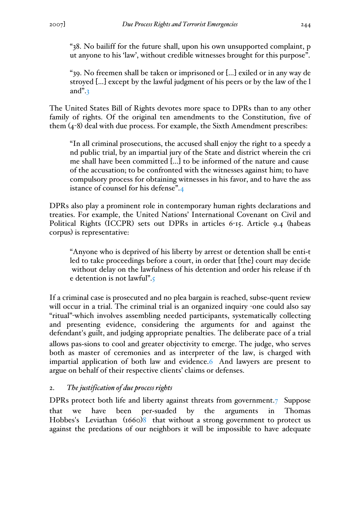"38. No bailiff for the future shall, upon his own unsupported complaint, p ut anyone to his 'law', without credible witnesses brought for this purpose".

"39. No freemen shall be taken or imprisoned or […] exiled or in any way de stroyed […] except by the lawful judgment of his peers or by the law of the l and".3

The United States Bill of Rights devotes more space to DPRs than to any other family of rights. Of the original ten amendments to the Constitution, five of them (4-8) deal with due process. For example, the Sixth Amendment prescribes:

"In all criminal prosecutions, the accused shall enjoy the right to a speedy a nd public trial, by an impartial jury of the State and district wherein the cri me shall have been committed [...] to be informed of the nature and cause of the accusation; to be confronted with the witnesses against him; to have compulsory process for obtaining witnesses in his favor, and to have the ass istance of counsel for his defense".4

DPRs also play a prominent role in contemporary human rights declarations and treaties. For example, the United Nations' International Covenant on Civil and Political Rights (ICCPR) sets out DPRs in articles 6-15. Article 9.4 (habeas corpus) is representative:

"Anyone who is deprived of his liberty by arrest or detention shall be enti-t led to take proceedings before a court, in order that [the] court may decide without delay on the lawfulness of his detention and order his release if th e detention is not lawful".5

If a criminal case is prosecuted and no plea bargain is reached, subse-quent review will occur in a trial. The criminal trial is an organized inquiry -one could also say "ritual"-which involves assembling needed participants, systematically collecting and presenting evidence, considering the arguments for and against the defendant's guilt, and judging appropriate penalties. The deliberate pace of a trial allows pas-sions to cool and greater objectivity to emerge. The judge, who serves both as master of ceremonies and as interpreter of the law, is charged with impartial application of both law and evidence.6 And lawyers are present to argue on behalf of their respective clients' claims or defenses.

# 2. *The justification of due process rights*

DPRs protect both life and liberty against threats from government.7 Suppose that we have been per-suaded by the arguments in Thomas Hobbes's Leviathan (1660)8 that without a strong government to protect us against the predations of our neighbors it will be impossible to have adequate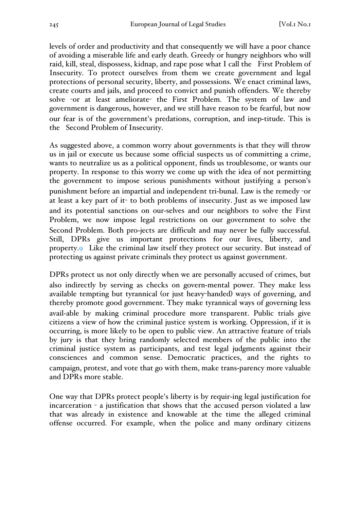levels of order and productivity and that consequently we will have a poor chance of avoiding a miserable life and early death. Greedy or hungry neighbors who will raid, kill, steal, dispossess, kidnap, and rape pose what I call the First Problem of Insecurity. To protect ourselves from them we create government and legal protections of personal security, liberty, and possessions. We enact criminal laws, create courts and jails, and proceed to convict and punish offenders. We thereby solve -or at least ameliorate- the First Problem. The system of law and government is dangerous, however, and we still have reason to be fearful, but now our fear is of the government's predations, corruption, and inep-titude. This is the Second Problem of Insecurity.

As suggested above, a common worry about governments is that they will throw us in jail or execute us because some official suspects us of committing a crime, wants to neutralize us as a political opponent, finds us troublesome, or wants our property. In response to this worry we come up with the idea of not permitting the government to impose serious punishments without justifying a person's punishment before an impartial and independent tri-bunal. Law is the remedy -or at least a key part of it- to both problems of insecurity. Just as we imposed law and its potential sanctions on our-selves and our neighbors to solve the First Problem, we now impose legal restrictions on our government to solve the Second Problem. Both pro-jects are difficult and may never be fully successful. Still, DPRs give us important protections for our lives, liberty, and property.9 Like the criminal law itself they protect our security. But instead of protecting us against private criminals they protect us against government.

DPRs protect us not only directly when we are personally accused of crimes, but also indirectly by serving as checks on govern-mental power. They make less available tempting but tyrannical (or just heavy-handed) ways of governing, and thereby promote good government. They make tyrannical ways of governing less avail-able by making criminal procedure more transparent. Public trials give citizens a view of how the criminal justice system is working. Oppression, if it is occurring, is more likely to be open to public view. An attractive feature of trials by jury is that they bring randomly selected members of the public into the criminal justice system as participants, and test legal judgments against their consciences and common sense. Democratic practices, and the rights to campaign, protest, and vote that go with them, make trans-parency more valuable and DPRs more stable.

One way that DPRs protect people's liberty is by requir-ing legal justification for incarceration - a justification that shows that the accused person violated a law that was already in existence and knowable at the time the alleged criminal offense occurred. For example, when the police and many ordinary citizens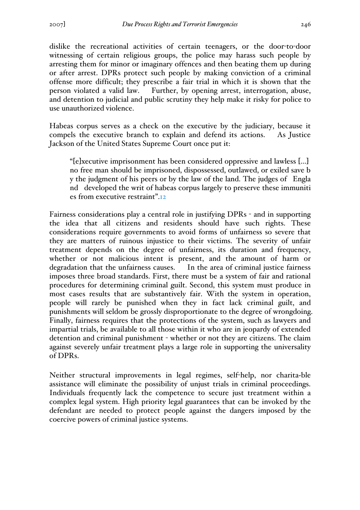dislike the recreational activities of certain teenagers, or the door-to-door witnessing of certain religious groups, the police may harass such people by arresting them for minor or imaginary offences and then beating them up during or after arrest. DPRs protect such people by making conviction of a criminal offense more difficult; they prescribe a fair trial in which it is shown that the person violated a valid law. Further, by opening arrest, interrogation, abuse, and detention to judicial and public scrutiny they help make it risky for police to use unauthorized violence.

Habeas corpus serves as a check on the executive by the judiciary, because it compels the executive branch to explain and defend its actions. As Justice Jackson of the United States Supreme Court once put it:

"[e]xecutive imprisonment has been considered oppressive and lawless [...] no free man should be imprisoned, dispossessed, outlawed, or exiled save b y the judgment of his peers or by the law of the land. The judges of Engla nd developed the writ of habeas corpus largely to preserve these immuniti es from executive restraint".12

Fairness considerations play a central role in justifying DPRs - and in supporting the idea that all citizens and residents should have such rights. These considerations require governments to avoid forms of unfairness so severe that they are matters of ruinous injustice to their victims. The severity of unfair treatment depends on the degree of unfairness, its duration and frequency, whether or not malicious intent is present, and the amount of harm or degradation that the unfairness causes. In the area of criminal justice fairness imposes three broad standards. First, there must be a system of fair and rational procedures for determining criminal guilt. Second, this system must produce in most cases results that are substantively fair. With the system in operation, people will rarely be punished when they in fact lack criminal guilt, and punishments will seldom be grossly disproportionate to the degree of wrongdoing. Finally, fairness requires that the protections of the system, such as lawyers and impartial trials, be available to all those within it who are in jeopardy of extended detention and criminal punishment - whether or not they are citizens. The claim against severely unfair treatment plays a large role in supporting the universality of DPRs.

Neither structural improvements in legal regimes, self-help, nor charita-ble assistance will eliminate the possibility of unjust trials in criminal proceedings. Individuals frequently lack the competence to secure just treatment within a complex legal system. High priority legal guarantees that can be invoked by the defendant are needed to protect people against the dangers imposed by the coercive powers of criminal justice systems.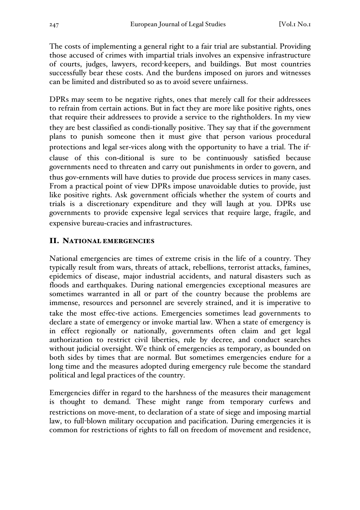The costs of implementing a general right to a fair trial are substantial. Providing those accused of crimes with impartial trials involves an expensive infrastructure of courts, judges, lawyers, record-keepers, and buildings. But most countries successfully bear these costs. And the burdens imposed on jurors and witnesses can be limited and distributed so as to avoid severe unfairness.

DPRs may seem to be negative rights, ones that merely call for their addressees to refrain from certain actions. But in fact they are more like positive rights, ones that require their addressees to provide a service to the rightholders. In my view they are best classified as condi-tionally positive. They say that if the government plans to punish someone then it must give that person various procedural protections and legal ser-vices along with the opportunity to have a trial. The ifclause of this con-ditional is sure to be continuously satisfied because governments need to threaten and carry out punishments in order to govern, and thus gov-ernments will have duties to provide due process services in many cases. From a practical point of view DPRs impose unavoidable duties to provide, just like positive rights. Ask government officials whether the system of courts and trials is a discretionary expenditure and they will laugh at you. DPRs use governments to provide expensive legal services that require large, fragile, and expensive bureau-cracies and infrastructures.

## II. NATIONAL EMERGENCIES

National emergencies are times of extreme crisis in the life of a country. They typically result from wars, threats of attack, rebellions, terrorist attacks, famines, epidemics of disease, major industrial accidents, and natural disasters such as floods and earthquakes. During national emergencies exceptional measures are sometimes warranted in all or part of the country because the problems are immense, resources and personnel are severely strained, and it is imperative to take the most effec-tive actions. Emergencies sometimes lead governments to declare a state of emergency or invoke martial law. When a state of emergency is in effect regionally or nationally, governments often claim and get legal authorization to restrict civil liberties, rule by decree, and conduct searches without judicial oversight. We think of emergencies as temporary, as bounded on both sides by times that are normal. But sometimes emergencies endure for a long time and the measures adopted during emergency rule become the standard political and legal practices of the country.

Emergencies differ in regard to the harshness of the measures their management is thought to demand. These might range from temporary curfews and restrictions on move-ment, to declaration of a state of siege and imposing martial law, to full-blown military occupation and pacification. During emergencies it is common for restrictions of rights to fall on freedom of movement and residence,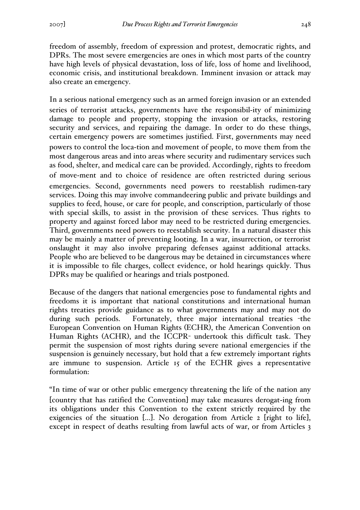freedom of assembly, freedom of expression and protest, democratic rights, and DPRs. The most severe emergencies are ones in which most parts of the country have high levels of physical devastation, loss of life, loss of home and livelihood, economic crisis, and institutional breakdown. Imminent invasion or attack may also create an emergency.

In a serious national emergency such as an armed foreign invasion or an extended series of terrorist attacks, governments have the responsibil-ity of minimizing damage to people and property, stopping the invasion or attacks, restoring security and services, and repairing the damage. In order to do these things, certain emergency powers are sometimes justified. First, governments may need powers to control the loca-tion and movement of people, to move them from the most dangerous areas and into areas where security and rudimentary services such as food, shelter, and medical care can be provided. Accordingly, rights to freedom of move-ment and to choice of residence are often restricted during serious emergencies. Second, governments need powers to reestablish rudimen-tary services. Doing this may involve commandeering public and private buildings and supplies to feed, house, or care for people, and conscription, particularly of those with special skills, to assist in the provision of these services. Thus rights to property and against forced labor may need to be restricted during emergencies. Third, governments need powers to reestablish security. In a natural disaster this may be mainly a matter of preventing looting. In a war, insurrection, or terrorist onslaught it may also involve preparing defenses against additional attacks. People who are believed to be dangerous may be detained in circumstances where it is impossible to file charges, collect evidence, or hold hearings quickly. Thus DPRs may be qualified or hearings and trials postponed.

Because of the dangers that national emergencies pose to fundamental rights and freedoms it is important that national constitutions and international human rights treaties provide guidance as to what governments may and may not do during such periods. Fortunately, three major international treaties -the European Convention on Human Rights (ECHR), the American Convention on Human Rights (ACHR), and the ICCPR- undertook this difficult task. They permit the suspension of most rights during severe national emergencies if the suspension is genuinely necessary, but hold that a few extremely important rights are immune to suspension. Article 15 of the ECHR gives a representative formulation:

"In time of war or other public emergency threatening the life of the nation any [country that has ratified the Convention] may take measures derogat-ing from its obligations under this Convention to the extent strictly required by the exigencies of the situation [...]. No derogation from Article 2 [right to life], except in respect of deaths resulting from lawful acts of war, or from Articles 3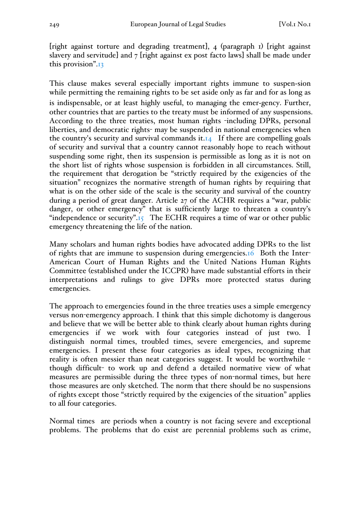[right against torture and degrading treatment], 4 (paragraph 1) [right against slavery and servitude] and 7 [right against ex post facto laws] shall be made under this provision".13

This clause makes several especially important rights immune to suspen-sion while permitting the remaining rights to be set aside only as far and for as long as is indispensable, or at least highly useful, to managing the emer-gency. Further, other countries that are parties to the treaty must be informed of any suspensions. According to the three treaties, most human rights -including DPRs, personal liberties, and democratic rights- may be suspended in national emergencies when the country's security and survival commands it. $I_4$  If there are compelling goals of security and survival that a country cannot reasonably hope to reach without suspending some right, then its suspension is permissible as long as it is not on the short list of rights whose suspension is forbidden in all circumstances. Still, the requirement that derogation be "strictly required by the exigencies of the situation" recognizes the normative strength of human rights by requiring that what is on the other side of the scale is the security and survival of the country during a period of great danger. Article 27 of the ACHR requires a "war, public danger, or other emergency" that is sufficiently large to threaten a country's "independence or security". $I_5$  The ECHR requires a time of war or other public emergency threatening the life of the nation.

Many scholars and human rights bodies have advocated adding DPRs to the list of rights that are immune to suspension during emergencies.16 Both the Inter-American Court of Human Rights and the United Nations Human Rights Committee (established under the ICCPR) have made substantial efforts in their interpretations and rulings to give DPRs more protected status during emergencies.

The approach to emergencies found in the three treaties uses a simple emergency versus non-emergency approach. I think that this simple dichotomy is dangerous and believe that we will be better able to think clearly about human rights during emergencies if we work with four categories instead of just two. I distinguish normal times, troubled times, severe emergencies, and supreme emergencies. I present these four categories as ideal types, recognizing that reality is often messier than neat categories suggest. It would be worthwhile though difficult- to work up and defend a detailed normative view of what measures are permissible during the three types of non-normal times, but here those measures are only sketched. The norm that there should be no suspensions of rights except those "strictly required by the exigencies of the situation" applies to all four categories.

Normal times are periods when a country is not facing severe and exceptional problems. The problems that do exist are perennial problems such as crime,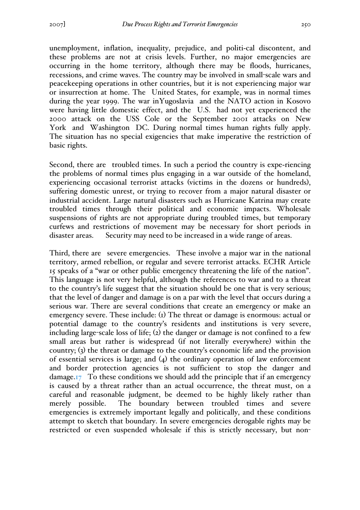unemployment, inflation, inequality, prejudice, and politi-cal discontent, and these problems are not at crisis levels. Further, no major emergencies are occurring in the home territory, although there may be floods, hurricanes, recessions, and crime waves. The country may be involved in small-scale wars and peacekeeping operations in other countries, but it is not experiencing major war or insurrection at home. The United States, for example, was in normal times during the year 1999. The war inYugoslavia and the NATO action in Kosovo were having little domestic effect, and the U.S. had not yet experienced the 2000 attack on the USS Cole or the September 2001 attacks on New York and Washington DC. During normal times human rights fully apply. The situation has no special exigencies that make imperative the restriction of basic rights.

Second, there are troubled times. In such a period the country is expe-riencing the problems of normal times plus engaging in a war outside of the homeland, experiencing occasional terrorist attacks (victims in the dozens or hundreds), suffering domestic unrest, or trying to recover from a major natural disaster or industrial accident. Large natural disasters such as Hurricane Katrina may create troubled times through their political and economic impacts. Wholesale suspensions of rights are not appropriate during troubled times, but temporary curfews and restrictions of movement may be necessary for short periods in disaster areas. Security may need to be increased in a wide range of areas.

Third, there are severe emergencies. These involve a major war in the national territory, armed rebellion, or regular and severe terrorist attacks. ECHR Article 15 speaks of a "war or other public emergency threatening the life of the nation". This language is not very helpful, although the references to war and to a threat to the country's life suggest that the situation should be one that is very serious; that the level of danger and damage is on a par with the level that occurs during a serious war. There are several conditions that create an emergency or make an emergency severe. These include: (1) The threat or damage is enormous: actual or potential damage to the country's residents and institutions is very severe, including large-scale loss of life; (2) the danger or damage is not confined to a few small areas but rather is widespread (if not literally everywhere) within the country; (3) the threat or damage to the country's economic life and the provision of essential services is large; and (4) the ordinary operation of law enforcement and border protection agencies is not sufficient to stop the danger and damage.17 To these conditions we should add the principle that if an emergency is caused by a threat rather than an actual occurrence, the threat must, on a careful and reasonable judgment, be deemed to be highly likely rather than merely possible. The boundary between troubled times and severe emergencies is extremely important legally and politically, and these conditions attempt to sketch that boundary. In severe emergencies derogable rights may be restricted or even suspended wholesale if this is strictly necessary, but non-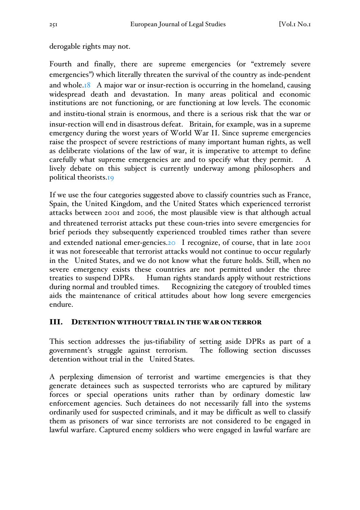## derogable rights may not.

Fourth and finally, there are supreme emergencies (or "extremely severe emergencies") which literally threaten the survival of the country as inde-pendent and whole.18 A major war or insur-rection is occurring in the homeland, causing widespread death and devastation. In many areas political and economic institutions are not functioning, or are functioning at low levels. The economic and institu-tional strain is enormous, and there is a serious risk that the war or insur-rection will end in disastrous defeat. Britain, for example, was in a supreme emergency during the worst years of World War II. Since supreme emergencies raise the prospect of severe restrictions of many important human rights, as well as deliberate violations of the law of war, it is imperative to attempt to define carefully what supreme emergencies are and to specify what they permit. A lively debate on this subject is currently underway among philosophers and political theorists.19

If we use the four categories suggested above to classify countries such as France, Spain, the United Kingdom, and the United States which experienced terrorist attacks between 2001 and 2006, the most plausible view is that although actual and threatened terrorist attacks put these coun-tries into severe emergencies for brief periods they subsequently experienced troubled times rather than severe and extended national emer-gencies.20 I recognize, of course, that in late 2001 it was not foreseeable that terrorist attacks would not continue to occur regularly in the United States, and we do not know what the future holds. Still, when no severe emergency exists these countries are not permitted under the three treaties to suspend DPRs. Human rights standards apply without restrictions during normal and troubled times. Recognizing the category of troubled times aids the maintenance of critical attitudes about how long severe emergencies endure.

## III. DETENTION WITHOUT TRIAL IN THE WAR ON TERROR

This section addresses the jus-tifiability of setting aside DPRs as part of a government's struggle against terrorism. The following section discusses detention without trial in the United States.

A perplexing dimension of terrorist and wartime emergencies is that they generate detainees such as suspected terrorists who are captured by military forces or special operations units rather than by ordinary domestic law enforcement agencies. Such detainees do not necessarily fall into the systems ordinarily used for suspected criminals, and it may be difficult as well to classify them as prisoners of war since terrorists are not considered to be engaged in lawful warfare. Captured enemy soldiers who were engaged in lawful warfare are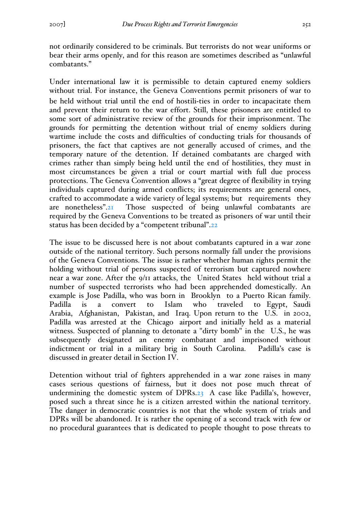not ordinarily considered to be criminals. But terrorists do not wear uniforms or bear their arms openly, and for this reason are sometimes described as "unlawful combatants."

Under international law it is permissible to detain captured enemy soldiers without trial. For instance, the Geneva Conventions permit prisoners of war to be held without trial until the end of hostili-ties in order to incapacitate them and prevent their return to the war effort. Still, these prisoners are entitled to some sort of administrative review of the grounds for their imprisonment. The grounds for permitting the detention without trial of enemy soldiers during wartime include the costs and difficulties of conducting trials for thousands of prisoners, the fact that captives are not generally accused of crimes, and the temporary nature of the detention. If detained combatants are charged with crimes rather than simply being held until the end of hostilities, they must in most circumstances be given a trial or court martial with full due process protections. The Geneva Convention allows a "great degree of flexibility in trying individuals captured during armed conflicts; its requirements are general ones, crafted to accommodate a wide variety of legal systems; but requirements they are nonetheless".21 Those suspected of being unlawful combatants are required by the Geneva Conventions to be treated as prisoners of war until their status has been decided by a "competent tribunal".22

The issue to be discussed here is not about combatants captured in a war zone outside of the national territory. Such persons normally fall under the provisions of the Geneva Conventions. The issue is rather whether human rights permit the holding without trial of persons suspected of terrorism but captured nowhere near a war zone. After the 9/11 attacks, the United States held without trial a number of suspected terrorists who had been apprehended domestically. An example is Jose Padilla, who was born in Brooklyn to a Puerto Rican family. Padilla is a convert to Islam who traveled to Egypt, Saudi Arabia, Afghanistan, Pakistan, and Iraq. Upon return to the U.S. in 2002, Padilla was arrested at the Chicago airport and initially held as a material witness. Suspected of planning to detonate a "dirty bomb" in the U.S., he was subsequently designated an enemy combatant and imprisoned without indictment or trial in a military brig in South Carolina. Padilla's case is discussed in greater detail in Section IV.

Detention without trial of fighters apprehended in a war zone raises in many cases serious questions of fairness, but it does not pose much threat of undermining the domestic system of DPRs.23 A case like Padilla's, however, posed such a threat since he is a citizen arrested within the national territory. The danger in democratic countries is not that the whole system of trials and DPRs will be abandoned. It is rather the opening of a second track with few or no procedural guarantees that is dedicated to people thought to pose threats to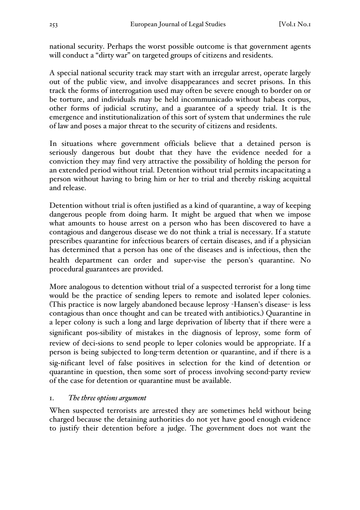national security. Perhaps the worst possible outcome is that government agents will conduct a "dirty war" on targeted groups of citizens and residents.

A special national security track may start with an irregular arrest, operate largely out of the public view, and involve disappearances and secret prisons. In this track the forms of interrogation used may often be severe enough to border on or be torture, and individuals may be held incommunicado without habeas corpus, other forms of judicial scrutiny, and a guarantee of a speedy trial. It is the emergence and institutionalization of this sort of system that undermines the rule of law and poses a major threat to the security of citizens and residents.

In situations where government officials believe that a detained person is seriously dangerous but doubt that they have the evidence needed for a conviction they may find very attractive the possibility of holding the person for an extended period without trial. Detention without trial permits incapacitating a person without having to bring him or her to trial and thereby risking acquittal and release.

Detention without trial is often justified as a kind of quarantine, a way of keeping dangerous people from doing harm. It might be argued that when we impose what amounts to house arrest on a person who has been discovered to have a contagious and dangerous disease we do not think a trial is necessary. If a statute prescribes quarantine for infectious bearers of certain diseases, and if a physician has determined that a person has one of the diseases and is infectious, then the health department can order and super-vise the person's quarantine. No procedural guarantees are provided.

More analogous to detention without trial of a suspected terrorist for a long time would be the practice of sending lepers to remote and isolated leper colonies. (This practice is now largely abandoned because leprosy -Hansen's disease- is less contagious than once thought and can be treated with antibiotics.) Quarantine in a leper colony is such a long and large deprivation of liberty that if there were a significant pos-sibility of mistakes in the diagnosis of leprosy, some form of review of deci-sions to send people to leper colonies would be appropriate. If a person is being subjected to long-term detention or quarantine, and if there is a sig-nificant level of false positives in selection for the kind of detention or quarantine in question, then some sort of process involving second-party review of the case for detention or quarantine must be available.

### 1. *The three options argument*

When suspected terrorists are arrested they are sometimes held without being charged because the detaining authorities do not yet have good enough evidence to justify their detention before a judge. The government does not want the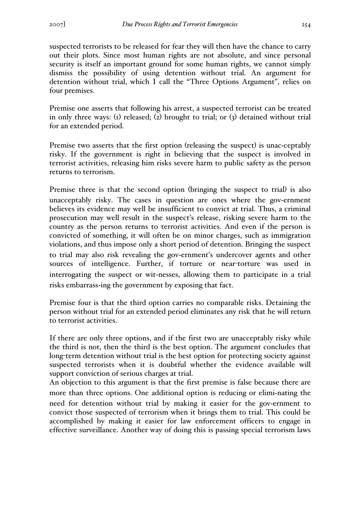suspected terrorists to be released for fear they will then have the chance to carry out their plots. Since most human rights are not absolute, and since personal security is itself an important ground for some human rights, we cannot simply dismiss the possibility of using detention without trial. An argument for detention without trial, which I call the "Three Options Argument", relies on four premises.

Premise one asserts that following his arrest, a suspected terrorist can be treated in only three ways: (1) released; (2) brought to trial; or (3) detained without trial for an extended period.

Premise two asserts that the first option (releasing the suspect) is unac-ceptably risky. If the government is right in believing that the suspect is involved in terrorist activities, releasing him risks severe harm to public safety as the person returns to terrorism.

Premise three is that the second option (bringing the suspect to trial) is also unacceptably risky. The cases in question are ones where the gov-ernment believes its evidence may well be insufficient to convict at trial. Thus, a criminal prosecution may well result in the suspect's release, risking severe harm to the country as the person returns to terrorist activities. And even if the person is convicted of something, it will often be on minor charges, such as immigration violations, and thus impose only a short period of detention. Bringing the suspect to trial may also risk revealing the gov-ernment's undercover agents and other sources of intelligence. Further, if torture or near-torture was used in interrogating the suspect or wit-nesses, allowing them to participate in a trial risks embarrass-ing the government by exposing that fact.

Premise four is that the third option carries no comparable risks. Detaining the person without trial for an extended period eliminates any risk that he will return to terrorist activities.

If there are only three options, and if the first two are unacceptably risky while the third is not, then the third is the best option. The argument concludes that long-term detention without trial is the best option for protecting society against suspected terrorists when it is doubtful whether the evidence available will support conviction of serious charges at trial.

An objection to this argument is that the first premise is false because there are more than three options. One additional option is reducing or elimi-nating the need for detention without trial by making it easier for the gov-ernment to convict those suspected of terrorism when it brings them to trial. This could be accomplished by making it easier for law enforcement officers to engage in effective surveillance. Another way of doing this is passing special terrorism laws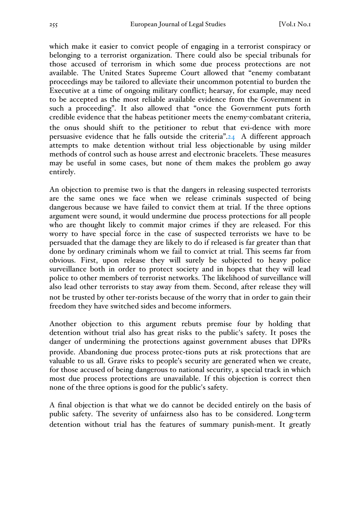which make it easier to convict people of engaging in a terrorist conspiracy or belonging to a terrorist organization. There could also be special tribunals for those accused of terrorism in which some due process protections are not available. The United States Supreme Court allowed that "enemy combatant proceedings may be tailored to alleviate their uncommon potential to burden the Executive at a time of ongoing military conflict; hearsay, for example, may need to be accepted as the most reliable available evidence from the Government in such a proceeding". It also allowed that "once the Government puts forth credible evidence that the habeas petitioner meets the enemy-combatant criteria, the onus should shift to the petitioner to rebut that evi-dence with more persuasive evidence that he falls outside the criteria".24 A different approach attempts to make detention without trial less objectionable by using milder methods of control such as house arrest and electronic bracelets. These measures may be useful in some cases, but none of them makes the problem go away entirely.

An objection to premise two is that the dangers in releasing suspected terrorists are the same ones we face when we release criminals suspected of being dangerous because we have failed to convict them at trial. If the three options argument were sound, it would undermine due process protections for all people who are thought likely to commit major crimes if they are released. For this worry to have special force in the case of suspected terrorists we have to be persuaded that the damage they are likely to do if released is far greater than that done by ordinary criminals whom we fail to convict at trial. This seems far from obvious. First, upon release they will surely be subjected to heavy police surveillance both in order to protect society and in hopes that they will lead police to other members of terrorist networks. The likelihood of surveillance will also lead other terrorists to stay away from them. Second, after release they will not be trusted by other ter-rorists because of the worry that in order to gain their freedom they have switched sides and become informers.

Another objection to this argument rebuts premise four by holding that detention without trial also has great risks to the public's safety. It poses the danger of undermining the protections against government abuses that DPRs provide. Abandoning due process protec-tions puts at risk protections that are valuable to us all. Grave risks to people's security are generated when we create, for those accused of being dangerous to national security, a special track in which most due process protections are unavailable. If this objection is correct then none of the three options is good for the public's safety.

A final objection is that what we do cannot be decided entirely on the basis of public safety. The severity of unfairness also has to be considered. Long-term detention without trial has the features of summary punish-ment. It greatly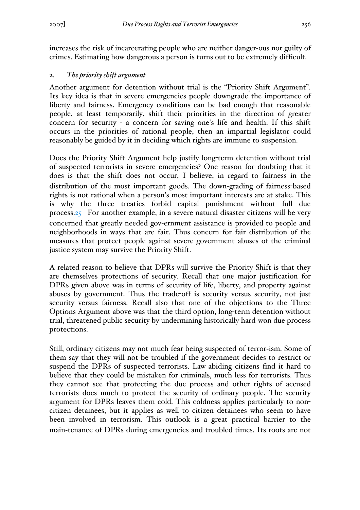increases the risk of incarcerating people who are neither danger-ous nor guilty of crimes. Estimating how dangerous a person is turns out to be extremely difficult.

## 2. *The priority shift argument*

Another argument for detention without trial is the "Priority Shift Argument". Its key idea is that in severe emergencies people downgrade the importance of liberty and fairness. Emergency conditions can be bad enough that reasonable people, at least temporarily, shift their priorities in the direction of greater concern for security - a concern for saving one's life and health. If this shift occurs in the priorities of rational people, then an impartial legislator could reasonably be guided by it in deciding which rights are immune to suspension.

Does the Priority Shift Argument help justify long-term detention without trial of suspected terrorists in severe emergencies? One reason for doubting that it does is that the shift does not occur, I believe, in regard to fairness in the distribution of the most important goods. The down-grading of fairness-based rights is not rational when a person's most important interests are at stake. This is why the three treaties forbid capital punishment without full due process.25 For another example, in a severe natural disaster citizens will be very concerned that greatly needed gov-ernment assistance is provided to people and neighborhoods in ways that are fair. Thus concern for fair distribution of the measures that protect people against severe government abuses of the criminal justice system may survive the Priority Shift.

A related reason to believe that DPRs will survive the Priority Shift is that they are themselves protections of security. Recall that one major justification for DPRs given above was in terms of security of life, liberty, and property against abuses by government. Thus the trade-off is security versus security, not just security versus fairness. Recall also that one of the objections to the Three Options Argument above was that the third option, long-term detention without trial, threatened public security by undermining historically hard-won due process protections.

Still, ordinary citizens may not much fear being suspected of terror-ism. Some of them say that they will not be troubled if the government decides to restrict or suspend the DPRs of suspected terrorists. Law-abiding citizens find it hard to believe that they could be mistaken for criminals, much less for terrorists. Thus they cannot see that protecting the due process and other rights of accused terrorists does much to protect the security of ordinary people. The security argument for DPRs leaves them cold. This coldness applies particularly to noncitizen detainees, but it applies as well to citizen detainees who seem to have been involved in terrorism. This outlook is a great practical barrier to the main-tenance of DPRs during emergencies and troubled times. Its roots are not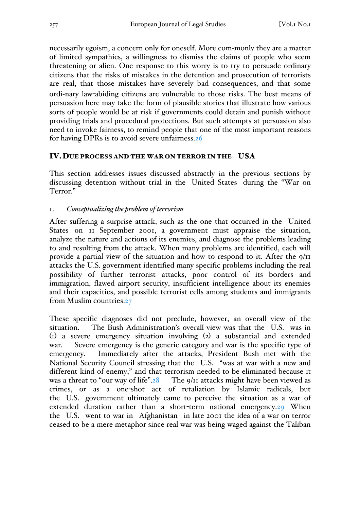necessarily egoism, a concern only for oneself. More com-monly they are a matter of limited sympathies, a willingness to dismiss the claims of people who seem threatening or alien. One response to this worry is to try to persuade ordinary citizens that the risks of mistakes in the detention and prosecution of terrorists are real, that those mistakes have severely bad consequences, and that some ordi-nary law-abiding citizens are vulnerable to those risks. The best means of persuasion here may take the form of plausible stories that illustrate how various sorts of people would be at risk if governments could detain and punish without providing trials and procedural protections. But such attempts at persuasion also need to invoke fairness, to remind people that one of the most important reasons for having DPRs is to avoid severe unfairness.26

#### IV.DUE PROCESS AND THE WAR ON TERROR IN THE USA

This section addresses issues discussed abstractly in the previous sections by discussing detention without trial in the United States during the "War on Terror."

#### 1. *Conceptualizing the problem of terrorism*

After suffering a surprise attack, such as the one that occurred in the United States on 11 September 2001, a government must appraise the situation, analyze the nature and actions of its enemies, and diagnose the problems leading to and resulting from the attack. When many problems are identified, each will provide a partial view of the situation and how to respond to it. After the 9/11 attacks the U.S. government identified many specific problems including the real possibility of further terrorist attacks, poor control of its borders and immigration, flawed airport security, insufficient intelligence about its enemies and their capacities, and possible terrorist cells among students and immigrants from Muslim countries.27

These specific diagnoses did not preclude, however, an overall view of the situation. The Bush Administration's overall view was that the U.S. was in (1) a severe emergency situation involving (2) a substantial and extended war. Severe emergency is the generic category and war is the specific type of emergency. Immediately after the attacks, President Bush met with the National Security Council stressing that the U.S. "was at war with a new and different kind of enemy," and that terrorism needed to be eliminated because it was a threat to "our way of life". $28$  The  $9/11$  attacks might have been viewed as crimes, or as a one-shot act of retaliation by Islamic radicals, but the U.S. government ultimately came to perceive the situation as a war of extended duration rather than a short-term national emergency.29 When the U.S. went to war in Afghanistan in late 2001 the idea of a war on terror ceased to be a mere metaphor since real war was being waged against the Taliban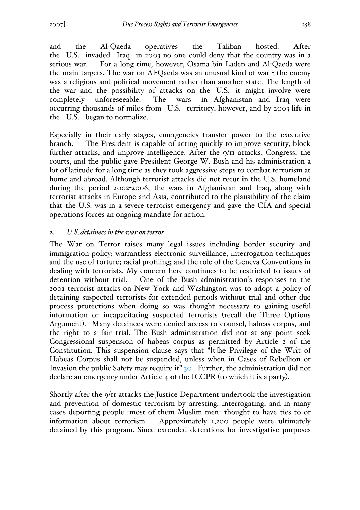and the Al-Qaeda operatives the Taliban hosted. After the U.S. invaded Iraq in 2003 no one could deny that the country was in a serious war. For a long time, however, Osama bin Laden and Al-Qaeda were the main targets. The war on Al-Qaeda was an unusual kind of war - the enemy was a religious and political movement rather than another state. The length of the war and the possibility of attacks on the U.S. it might involve were completely unforeseeable. The wars in Afghanistan and Iraq were occurring thousands of miles from U.S. territory, however, and by 2003 life in the U.S. began to normalize.

Especially in their early stages, emergencies transfer power to the executive branch. The President is capable of acting quickly to improve security, block further attacks, and improve intelligence. After the 9/11 attacks, Congress, the courts, and the public gave President George W. Bush and his administration a lot of latitude for a long time as they took aggressive steps to combat terrorism at home and abroad. Although terrorist attacks did not recur in the U.S. homeland during the period 2002-2006, the wars in Afghanistan and Iraq, along with terrorist attacks in Europe and Asia, contributed to the plausibility of the claim that the U.S. was in a severe terrorist emergency and gave the CIA and special operations forces an ongoing mandate for action.

#### 2. *U.S.detainees in the war on terror*

The War on Terror raises many legal issues including border security and immigration policy; warrantless electronic surveillance, interrogation techniques and the use of torture; racial profiling; and the role of the Geneva Conventions in dealing with terrorists. My concern here continues to be restricted to issues of detention without trial. One of the Bush administration's responses to the 2001 terrorist attacks on New York and Washington was to adopt a policy of detaining suspected terrorists for extended periods without trial and other due process protections when doing so was thought necessary to gaining useful information or incapacitating suspected terrorists (recall the Three Options Argument). Many detainees were denied access to counsel, habeas corpus, and the right to a fair trial. The Bush administration did not at any point seek Congressional suspension of habeas corpus as permitted by Article 2 of the Constitution. This suspension clause says that "[t]he Privilege of the Writ of Habeas Corpus shall not be suspended, unless when in Cases of Rebellion or Invasion the public Safety may require it".30 Further, the administration did not declare an emergency under Article 4 of the ICCPR (to which it is a party).

Shortly after the 9/11 attacks the Justice Department undertook the investigation and prevention of domestic terrorism by arresting, interrogating, and in many cases deporting people -most of them Muslim men- thought to have ties to or information about terrorism. Approximately 1,200 people were ultimately detained by this program. Since extended detentions for investigative purposes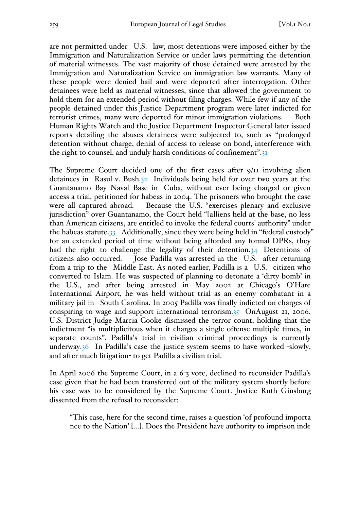are not permitted under U.S. law, most detentions were imposed either by the Immigration and Naturalization Service or under laws permitting the detention of material witnesses. The vast majority of those detained were arrested by the Immigration and Naturalization Service on immigration law warrants. Many of these people were denied bail and were deported after interrogation. Other detainees were held as material witnesses, since that allowed the government to hold them for an extended period without filing charges. While few if any of the people detained under this Justice Department program were later indicted for terrorist crimes, many were deported for minor immigration violations. Both Human Rights Watch and the Justice Department Inspector General later issued reports detailing the abuses detainees were subjected to, such as "prolonged detention without charge, denial of access to release on bond, interference with the right to counsel, and unduly harsh conditions of confinement".31

The Supreme Court decided one of the first cases after 9/11 involving alien detainees in Rasul v. Bush.32 Individuals being held for over two years at the Guantanamo Bay Naval Base in Cuba, without ever being charged or given access a trial, petitioned for habeas in 2004. The prisoners who brought the case were all captured abroad. Because the U.S. "exercises plenary and exclusive jurisdiction" over Guantanamo, the Court held "[a]liens held at the base, no less than American citizens, are entitled to invoke the federal courts' authority" under the habeas statute.33 Additionally, since they were being held in "federal custody" for an extended period of time without being afforded any formal DPRs, they had the right to challenge the legality of their detention.34 Detentions of citizens also occurred. Jose Padilla was arrested in the U.S. after returning from a trip to the Middle East. As noted earlier, Padilla is a U.S. citizen who converted to Islam. He was suspected of planning to detonate a 'dirty bomb' in the U.S., and after being arrested in May 2002 at Chicago's O'Hare International Airport, he was held without trial as an enemy combatant in a military jail in South Carolina. In 2005 Padilla was finally indicted on charges of conspiring to wage and support international terrorism.35 OnAugust 21, 2006, U.S. District Judge Marcia Cooke dismissed the terror count, holding that the indictment "is multiplicitous when it charges a single offense multiple times, in separate counts". Padilla's trial in civilian criminal proceedings is currently underway.36 In Padilla's case the justice system seems to have worked -slowly, and after much litigation- to get Padilla a civilian trial.

In April 2006 the Supreme Court, in a 6-3 vote, declined to reconsider Padilla's case given that he had been transferred out of the military system shortly before his case was to be considered by the Supreme Court. Justice Ruth Ginsburg dissented from the refusal to reconsider:

"This case, here for the second time, raises a question 'of profound importa nce to the Nation' [...]. Does the President have authority to imprison inde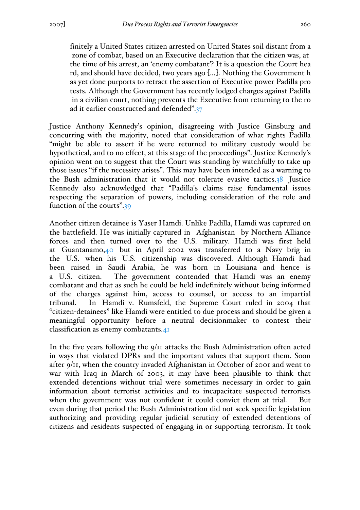finitely a United States citizen arrested on United States soil distant from a zone of combat, based on an Executive declaration that the citizen was, at the time of his arrest, an 'enemy combatant'? It is a question the Court hea rd, and should have decided, two years ago […]. Nothing the Government h as yet done purports to retract the assertion of Executive power Padilla pro tests. Although the Government has recently lodged charges against Padilla in a civilian court, nothing prevents the Executive from returning to the ro ad it earlier constructed and defended".37

Justice Anthony Kennedy's opinion, disagreeing with Justice Ginsburg and concurring with the majority, noted that consideration of what rights Padilla "might be able to assert if he were returned to military custody would be hypothetical, and to no effect, at this stage of the proceedings". Justice Kennedy's opinion went on to suggest that the Court was standing by watchfully to take up those issues "if the necessity arises". This may have been intended as a warning to the Bush administration that it would not tolerate evasive tactics.38 Justice Kennedy also acknowledged that "Padilla's claims raise fundamental issues respecting the separation of powers, including consideration of the role and function of the courts".39

Another citizen detainee is Yaser Hamdi. Unlike Padilla, Hamdi was captured on the battlefield. He was initially captured in Afghanistan by Northern Alliance forces and then turned over to the U.S. military. Hamdi was first held at Guantanamo,40 but in April 2002 was transferred to a Navy brig in the U.S. when his U.S. citizenship was discovered. Although Hamdi had been raised in Saudi Arabia, he was born in Louisiana and hence is a U.S. citizen. The government contended that Hamdi was an enemy combatant and that as such he could be held indefinitely without being informed of the charges against him, access to counsel, or access to an impartial tribunal. In Hamdi v. Rumsfeld, the Supreme Court ruled in 2004 that "citizen-detainees" like Hamdi were entitled to due process and should be given a meaningful opportunity before a neutral decisionmaker to contest their classification as enemy combatants.41

In the five years following the 9/11 attacks the Bush Administration often acted in ways that violated DPRs and the important values that support them. Soon after 9/11, when the country invaded Afghanistan in October of 2001 and went to war with Iraq in March of 2003, it may have been plausible to think that extended detentions without trial were sometimes necessary in order to gain information about terrorist activities and to incapacitate suspected terrorists when the government was not confident it could convict them at trial. But even during that period the Bush Administration did not seek specific legislation authorizing and providing regular judicial scrutiny of extended detentions of citizens and residents suspected of engaging in or supporting terrorism. It took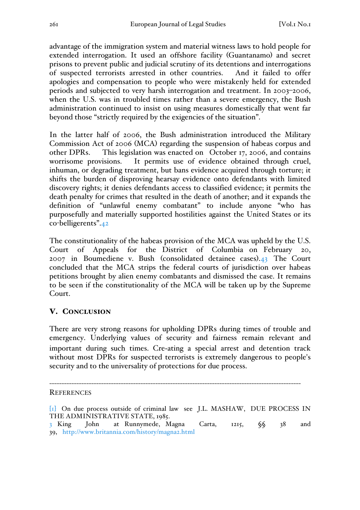advantage of the immigration system and material witness laws to hold people for extended interrogation. It used an offshore facility (Guantanamo) and secret prisons to prevent public and judicial scrutiny of its detentions and interrogations of suspected terrorists arrested in other countries. And it failed to offer apologies and compensation to people who were mistakenly held for extended periods and subjected to very harsh interrogation and treatment. In 2003–2006, when the U.S. was in troubled times rather than a severe emergency, the Bush administration continued to insist on using measures domestically that went far beyond those "strictly required by the exigencies of the situation".

In the latter half of 2006, the Bush administration introduced the Military Commission Act of 2006 (MCA) regarding the suspension of habeas corpus and other DPRs. This legislation was enacted on October 17, 2006, and contains worrisome provisions. It permits use of evidence obtained through cruel, inhuman, or degrading treatment, but bans evidence acquired through torture; it shifts the burden of disproving hearsay evidence onto defendants with limited discovery rights; it denies defendants access to classified evidence; it permits the death penalty for crimes that resulted in the death of another; and it expands the definition of "unlawful enemy combatant" to include anyone "who has purposefully and materially supported hostilities against the United States or its co-belligerents".42

The constitutionality of the habeas provision of the MCA was upheld by the U.S. Court of Appeals for the District of Columbia on February 20, 2007 in Boumediene v. Bush (consolidated detainee cases).43 The Court concluded that the MCA strips the federal courts of jurisdiction over habeas petitions brought by alien enemy combatants and dismissed the case. It remains to be seen if the constitutionality of the MCA will be taken up by the Supreme Court.

## V. CONCLUSION

There are very strong reasons for upholding DPRs during times of trouble and emergency. Underlying values of security and fairness remain relevant and important during such times. Cre-ating a special arrest and detention track without most DPRs for suspected terrorists is extremely dangerous to people's security and to the universality of protections for due process.

------------------------------------------------------------------------------------------------------ **REFERENCES** 

<sup>[</sup>1] On due process outside of criminal law see J.L. MASHAW, DUE PROCESS IN THE ADMINISTRATIVE STATE, 1985.

<sup>3</sup> King John at Runnymede, Magna Carta, 1215, §§ 38 and 39, http://www.britannia.com/history/magna2.html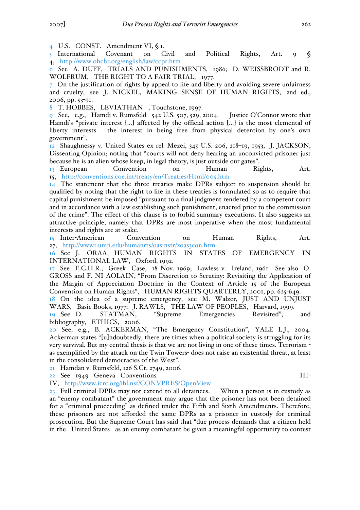4 U.S. CONST. Amendment VI, § 1.

5 International Covenant on Civil and Political Rights, Art. 9 § 4, http://www.ohchr.org/english/law/ccpr.htm

6 See A. DUFF, TRIALS AND PUNISHMENTS, 1986; D. WEISSBRODT and R. WOLFRUM, THE RIGHT TO A FAIR TRIAL, 1977.

7 On the justification of rights by appeal to life and liberty and avoiding severe unfairness and cruelty, see J. NICKEL, MAKING SENSE OF HUMAN RIGHTS, 2nd ed., 2006, pp. 53-91.

8 T. HOBBES, LEVIATHAN , Touchstone, 1997.

9 See, e.g., Hamdi v. Rumsfeld 542 U.S. 507, 529, 2004. Justice O'Connor wrote that Hamdi's "private interest [...] affected by the official action [...] is the most elemental of liberty interests - the interest in being free from physical detention by one's own government".

12 Shaughnessy v. United States ex rel. Mezei, 345 U.S. 206, 218–19, 1953, J. JACKSON, Dissenting Opinion; noting that "courts will not deny hearing an unconvicted prisoner just because he is an alien whose keep, in legal theory, is just outside our gates".

13 European Convention on Human Rights, Art. 15, http://conventions.coe.int/treaty/en/Treaties/Html/005.htm

14 The statement that the three treaties make DPRs subject to suspension should be qualified by noting that the right to life in these treaties is formulated so as to require that capital punishment be imposed "pursuant to a final judgment rendered by a competent court and in accordance with a law establishing such punishment, enacted prior to the commission of the crime". The effect of this clause is to forbid summary executions. It also suggests an attractive principle, namely that DPRs are most imperative when the most fundamental interests and rights are at stake.

15 Inter-American Convention on Human Rights, Art. 27, http://www1.umn.edu/humanrts/oasinstr/zoas3con.htm

16 See J. ORAA, HUMAN RIGHTS IN STATES OF EMERGENCY IN INTERNATIONAL LAW, Oxford, 1992.

17 See E.C.H.R., Greek Case, 18 Nov. 1969; Lawless v. Ireland, 1961. See also O. GROSS and F. NI AOLAIN, "From Discretion to Scrutiny: Revisiting the Application of the Margin of Appreciation Doctrine in the Context of Article 15 of the European Convention on Human Rights", HUMAN RIGHTS QUARTERLY, 2001, pp. 625-649.

18 On the idea of a supreme emergency, see M. Walzer, JUST AND UNJUST WARS, Basic Books, 1977; J. RAWLS, THE LAW OF PEOPLES, Harvard, 1999.

19 See D. STATMAN, "Supreme Emergencies Revisited", and bibliography, ETHICS, 2006.

20 See, e.g., B. ACKERMAN, "The Emergency Constitution", YALE L.J., 2004. Ackerman states "[u]ndoubtedly, there are times when a political society is struggling for its very survival. But my central thesis is that we are not living in one of these times. Terrorism as exemplified by the attack on the Twin Towers- does not raise an existential threat, at least in the consolidated democracies of the West".

21 Hamdan v. Rumsfeld, 126 S.Ct. 2749, 2006.

22 See 1949 Geneva Conventions III-

IV, http://www.icrc.org/ihl.nsf/CONVPRES?OpenView

23 Full criminal DPRs may not extend to all detainees. When a person is in custody as an "enemy combatant" the government may argue that the prisoner has not been detained for a "criminal proceeding" as defined under the Fifth and Sixth Amendments. Therefore, these prisoners are not afforded the same DPRs as a prisoner in custody for criminal prosecution. But the Supreme Court has said that "due process demands that a citizen held in the United States as an enemy combatant be given a meaningful opportunity to contest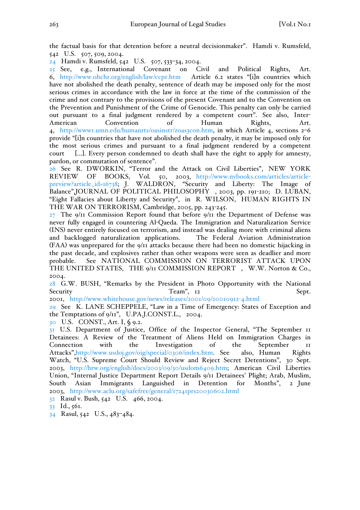the factual basis for that detention before a neutral decisionmaker". Hamdi v. Rumsfeld, 542 U.S. 507, 509, 2004.

24 Hamdi v. Rumsfeld, 542 U.S. 507, 533–34, 2004.

25 See, e.g., International Covenant on Civil and Political Rights, Art. 6, http://www.ohchr.org/english/law/ccpr.htm Article 6.2 states "[i]n countries which have not abolished the death penalty, sentence of death may be imposed only for the most serious crimes in accordance with the law in force at the time of the commission of the crime and not contrary to the provisions of the present Covenant and to the Convention on the Prevention and Punishment of the Crime of Genocide. This penalty can only be carried out pursuant to a final judgment rendered by a competent court". See also, Inter-American Convention of Human Rights, Art. 4, http://www1.umn.edu/humanrts/oasinstr/zoas3con.htm, in which Article 4, sections 2–6 provide "[i]n countries that have not abolished the death penalty, it may be imposed only for the most serious crimes and pursuant to a final judgment rendered by a competent court [...]. Every person condemned to death shall have the right to apply for amnesty, pardon, or commutation of sentence".

26 See R. DWORKIN, "Terror and the Attack on Civil Liberties", NEW YORK<br>REVIEW OF BOOKS, Vol. 50, 2003, http://www.nybooks.com/articles/article-REVIEW OF BOOKS, Vol. 50, 2003, http://www.nybooks.com/articles/articlepreview?article\_id=16738; J. WALDRON, "Security and Liberty: The Image of Balance",JOURNAL OF POLITICAL PHILOSOPHY , 2003, pp. 191-210; D. LUBAN, "Eight Fallacies about Liberty and Security", in R. WILSON, HUMAN RIGHTS IN THE WAR ON TERRORISM, Cambridge, 2005, pp. 243-245.

 $27$  The 9/11 Commission Report found that before 9/11 the Department of Defense was never fully engaged in countering Al-Qaeda. The Immigration and Naturalization Service (INS) never entirely focused on terrorism, and instead was dealing more with criminal aliens and backlogged naturalization applications. The Federal Aviation Administration (FAA) was unprepared for the 9/11 attacks because there had been no domestic hijacking in the past decade, and explosives rather than other weapons were seen as deadlier and more probable. See NATIONAL COMMISSION ON TERRORIST ATTACK UPON THE UNITED STATES, THE 9/11 COMMISSION REPORT, W.W. Norton & Co., 2004.

28 G.W. BUSH, "Remarks by the President in Photo Opportunity with the National Security Team", 12 Sept.

2001, http://www.whitehouse.gov/news/releases/2001/09/20010912-4.html

29 See K. LANE SCHEPPELE, "Law in a Time of Emergency: States of Exception and the Temptations of 9/11", U.PA.J.CONST.L., 2004.

30 U.S. CONST., Art. I, § 9.2.

31 U.S. Department of Justice, Office of the Inspector General, "The September 11 Detainees: A Review of the Treatment of Aliens Held on Immigration Charges in Connection with the Investigation of the September 11 Attacks",http://www.usdoj.gov/oig/special/0306/index.htm. See also, Human Rights Watch, "U.S. Supreme Court Should Review and Reject Secret Detentions", 30 Sept. 2003, http://hrw.org/english/docs/2003/09/30/usdom6409.htm; American Civil Liberties Union, "Internal Justice Department Report Details 9/11 Detainees' Plight; Arab, Muslim, South Asian Immigrants Languished in Detention for Months", 2 June 2003, http://www.aclu.org/safefree/general/17241prs20030602.html

32 Rasul v. Bush, 542 U.S. 466, 2004.

33 Id., 561.

34 Rasul, 542 U.S., 483–484.